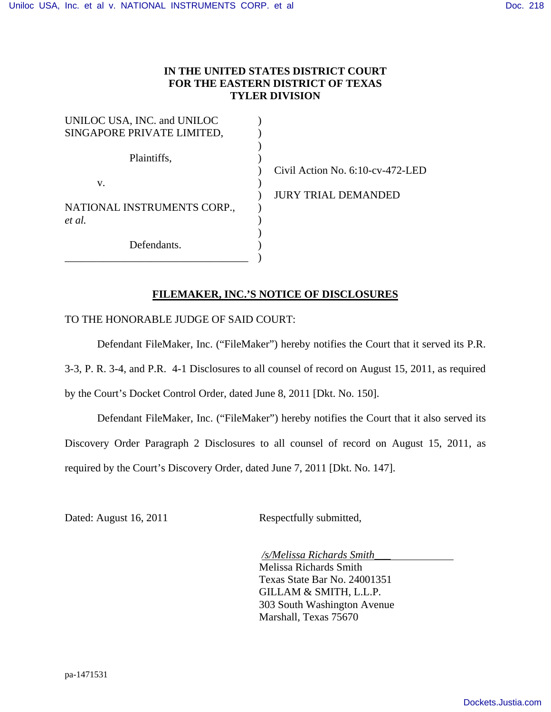## **IN THE UNITED STATES DISTRICT COURT FOR THE EASTERN DISTRICT OF TEXAS TYLER DIVISION**

| UNILOC USA, INC. and UNILOC |  |
|-----------------------------|--|
| SINGAPORE PRIVATE LIMITED,  |  |
|                             |  |
| Plaintiffs,                 |  |
|                             |  |
| V.                          |  |
|                             |  |
| NATIONAL INSTRUMENTS CORP., |  |
| et al.                      |  |
|                             |  |
| Defendants.                 |  |
|                             |  |

Civil Action No. 6:10-cv-472-LED JURY TRIAL DEMANDED

## **FILEMAKER, INC.'S NOTICE OF DISCLOSURES**

## TO THE HONORABLE JUDGE OF SAID COURT:

Defendant FileMaker, Inc. ("FileMaker") hereby notifies the Court that it served its P.R.

3-3, P. R. 3-4, and P.R. 4-1 Disclosures to all counsel of record on August 15, 2011, as required

by the Court's Docket Control Order, dated June 8, 2011 [Dkt. No. 150].

Defendant FileMaker, Inc. ("FileMaker") hereby notifies the Court that it also served its Discovery Order Paragraph 2 Disclosures to all counsel of record on August 15, 2011, as required by the Court's Discovery Order, dated June 7, 2011 [Dkt. No. 147].

Dated: August 16, 2011 Respectfully submitted,

 */s/Melissa Richards Smith\_\_\_*  Melissa Richards Smith Texas State Bar No. 24001351 GILLAM & SMITH, L.L.P. 303 South Washington Avenue Marshall, Texas 75670